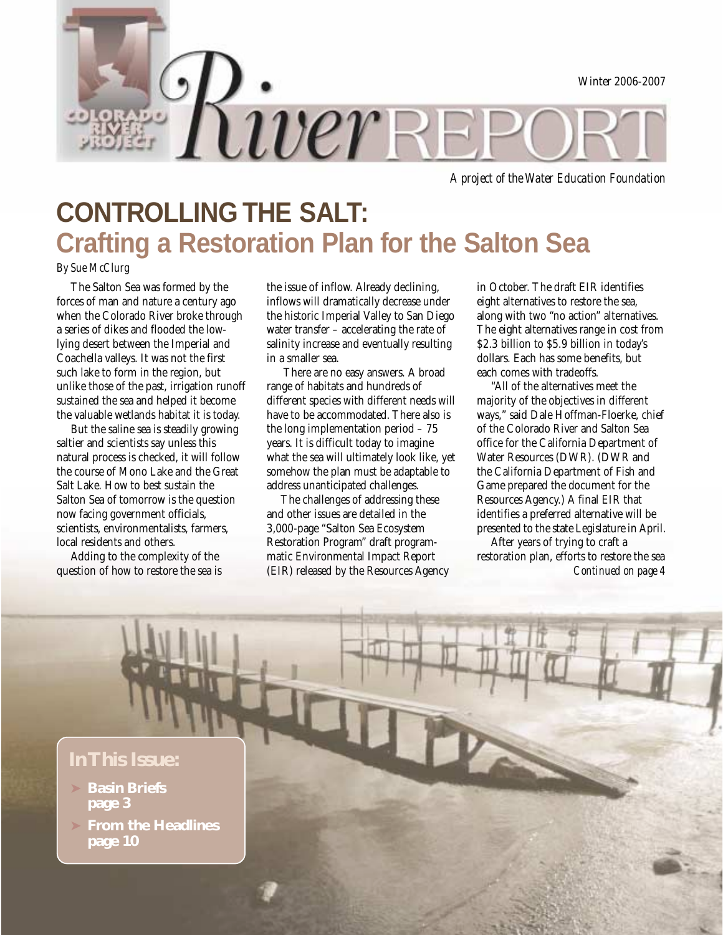

*A project of the Water Education Foundation*

# **CONTROLLING THE SALT: Crafting a Restoration Plan for the Salton Sea**

#### *By Sue McClurg*

The Salton Sea was formed by the forces of man and nature a century ago when the Colorado River broke through a series of dikes and flooded the lowlying desert between the Imperial and Coachella valleys. It was not the first such lake to form in the region, but unlike those of the past, irrigation runoff sustained the sea and helped it become the valuable wetlands habitat it is today.

But the saline sea is steadily growing saltier and scientists say unless this natural process is checked, it will follow the course of Mono Lake and the Great Salt Lake. How to best sustain the Salton Sea of tomorrow is the question now facing government officials, scientists, environmentalists, farmers, local residents and others.

Adding to the complexity of the question of how to restore the sea is the issue of inflow. Already declining, inflows will dramatically decrease under the historic Imperial Valley to San Diego water transfer – accelerating the rate of salinity increase and eventually resulting in a smaller sea.

 There are no easy answers. A broad range of habitats and hundreds of different species with different needs will have to be accommodated. There also is the long implementation period – 75 years. It is difficult today to imagine what the sea will ultimately look like, yet somehow the plan must be adaptable to address unanticipated challenges.

The challenges of addressing these and other issues are detailed in the 3,000-page "Salton Sea Ecosystem Restoration Program" draft programmatic Environmental Impact Report (EIR) released by the Resources Agency in October. The draft EIR identifies eight alternatives to restore the sea, along with two "no action" alternatives. The eight alternatives range in cost from \$2.3 billion to \$5.9 billion in today's dollars. Each has some benefits, but each comes with tradeoffs.

"All of the alternatives meet the majority of the objectives in different ways," said Dale Hoffman-Floerke, chief of the Colorado River and Salton Sea office for the California Department of Water Resources (DWR). (DWR and the California Department of Fish and Game prepared the document for the Resources Agency.) A final EIR that identifies a preferred alternative will be presented to the state Legislature in April.

*Continued on page 4* After years of trying to craft a restoration plan, efforts to restore the sea

## **In This Issue:**

- ➤ **Basin Briefs page 3**
- ➤ **From the Headlines page 10**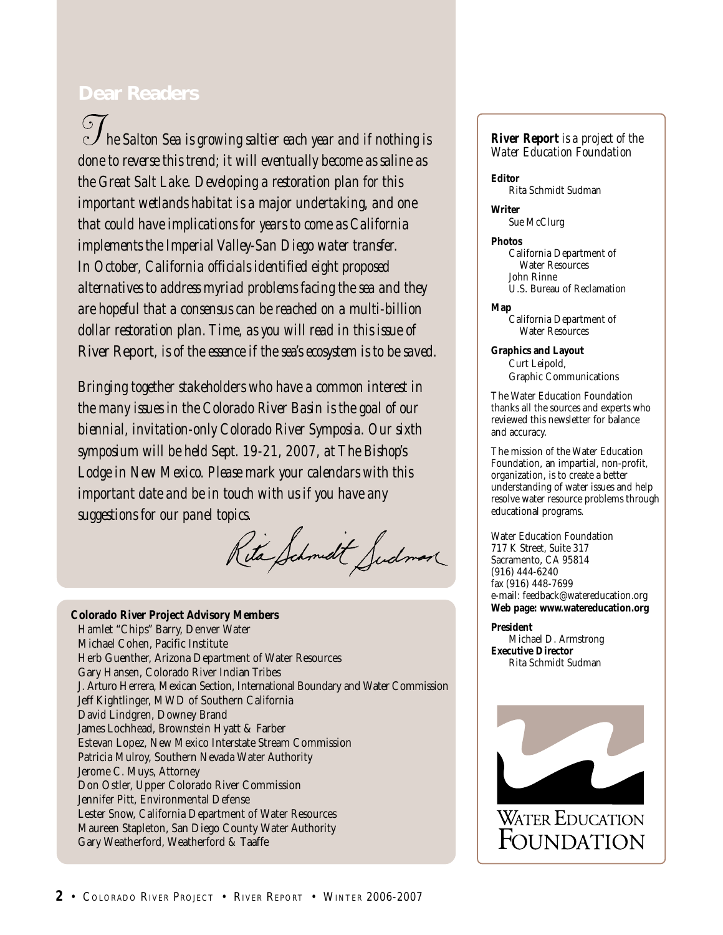## **Dear Readers**

 *he Salton Sea is growing saltier each year and if nothing is done to reverse this trend; it will eventually become as saline as the Great Salt Lake. Developing a restoration plan for this important wetlands habitat is a major undertaking, and one that could have implications for years to come as California implements the Imperial Valley-San Diego water transfer. In October, California officials identified eight proposed alternatives to address myriad problems facing the sea and they are hopeful that a consensus can be reached on a multi-billion dollar restoration plan. Time, as you will read in this issue of* River Report*, is of the essence if the sea's ecosystem is to be saved.*

*Bringing together stakeholders who have a common interest in the many issues in the Colorado River Basin is the goal of our biennial, invitation-only Colorado River Symposia. Our sixth symposium will be held Sept. 19-21, 2007, at The Bishop's Lodge in New Mexico. Please mark your calendars with this important date and be in touch with us if you have any suggestions for our panel topics.*

Rita Schmidt Sudman

#### **Colorado River Project Advisory Members**

Hamlet "Chips" Barry, Denver Water Michael Cohen, Pacific Institute Herb Guenther, Arizona Department of Water Resources Gary Hansen, Colorado River Indian Tribes J. Arturo Herrera, Mexican Section, International Boundary and Water Commission Jeff Kightlinger, MWD of Southern California David Lindgren, Downey Brand James Lochhead, Brownstein Hyatt & Farber Estevan Lopez, New Mexico Interstate Stream Commission Patricia Mulroy, Southern Nevada Water Authority Jerome C. Muys, Attorney Don Ostler, Upper Colorado River Commission Jennifer Pitt, Environmental Defense Lester Snow, California Department of Water Resources Maureen Stapleton, San Diego County Water Authority Gary Weatherford, Weatherford & Taaffe

#### *River Report is a project of the Water Education Foundation*

**Editor** Rita Schmidt Sudman

**Writer** Sue McClurg

**Photos**

California Department of Water Resources John Rinne U.S. Bureau of Reclamation

**Map**

California Department of Water Resources

**Graphics and Layout** Curt Leipold, Graphic Communications

The Water Education Foundation thanks all the sources and experts who reviewed this newsletter for balance and accuracy.

The mission of the Water Education Foundation, an impartial, non-profit, organization, is to create a better understanding of water issues and help resolve water resource problems through educational programs.

Water Education Foundation 717 K Street, Suite 317 Sacramento, CA 95814 (916) 444-6240 fax (916) 448-7699 e-mail: feedback@watereducation.org **Web page: www.watereducation.org**

**President** Michael D. Armstrong **Executive Director** Rita Schmidt Sudman

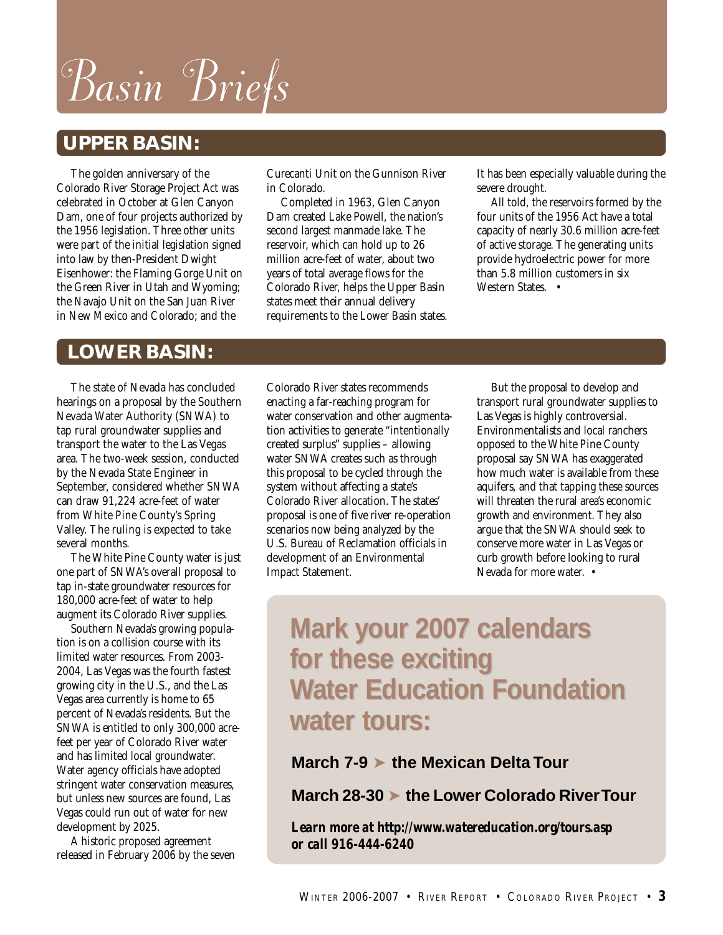Basin Briefs

# **UPPER BASIN:**

The golden anniversary of the Colorado River Storage Project Act was celebrated in October at Glen Canyon Dam, one of four projects authorized by the 1956 legislation. Three other units were part of the initial legislation signed into law by then-President Dwight Eisenhower: the Flaming Gorge Unit on the Green River in Utah and Wyoming; the Navajo Unit on the San Juan River in New Mexico and Colorado; and the

Curecanti Unit on the Gunnison River in Colorado.

Completed in 1963, Glen Canyon Dam created Lake Powell, the nation's second largest manmade lake. The reservoir, which can hold up to 26 million acre-feet of water, about two years of total average flows for the Colorado River, helps the Upper Basin states meet their annual delivery requirements to the Lower Basin states. It has been especially valuable during the severe drought.

All told, the reservoirs formed by the four units of the 1956 Act have a total capacity of nearly 30.6 million acre-feet of active storage. The generating units provide hydroelectric power for more than 5.8 million customers in six Western States. •

# **LOWER BASIN:**

The state of Nevada has concluded hearings on a proposal by the Southern Nevada Water Authority (SNWA) to tap rural groundwater supplies and transport the water to the Las Vegas area. The two-week session, conducted by the Nevada State Engineer in September, considered whether SNWA can draw 91,224 acre-feet of water from White Pine County's Spring Valley. The ruling is expected to take several months.

The White Pine County water is just one part of SNWA's overall proposal to tap in-state groundwater resources for 180,000 acre-feet of water to help augment its Colorado River supplies.

Southern Nevada's growing population is on a collision course with its limited water resources. From 2003- 2004, Las Vegas was the fourth fastest growing city in the U.S., and the Las Vegas area currently is home to 65 percent of Nevada's residents. But the SNWA is entitled to only 300,000 acrefeet per year of Colorado River water and has limited local groundwater. Water agency officials have adopted stringent water conservation measures, but unless new sources are found, Las Vegas could run out of water for new development by 2025.

A historic proposed agreement released in February 2006 by the seven Colorado River states recommends enacting a far-reaching program for water conservation and other augmentation activities to generate "intentionally created surplus" supplies – allowing water SNWA creates such as through this proposal to be cycled through the system without affecting a state's Colorado River allocation. The states' proposal is one of five river re-operation scenarios now being analyzed by the U.S. Bureau of Reclamation officials in development of an Environmental Impact Statement.

But the proposal to develop and transport rural groundwater supplies to Las Vegas is highly controversial. Environmentalists and local ranchers opposed to the White Pine County proposal say SNWA has exaggerated how much water is available from these aquifers, and that tapping these sources will threaten the rural area's economic growth and environment. They also argue that the SNWA should seek to conserve more water in Las Vegas or curb growth before looking to rural Nevada for more water. •

# **Mark your 2007 calendars Mark your 2007 calendars for these exciting for these exciting Water Education Foundation Water Education Foundation water tours: water tours:**

## **March 7-9** ➤ **the Mexican Delta Tour**

**March 28-30** ➤ **the Lower Colorado River Tour**

*Learn more at http://www.watereducation.org/tours.asp or call 916-444-6240*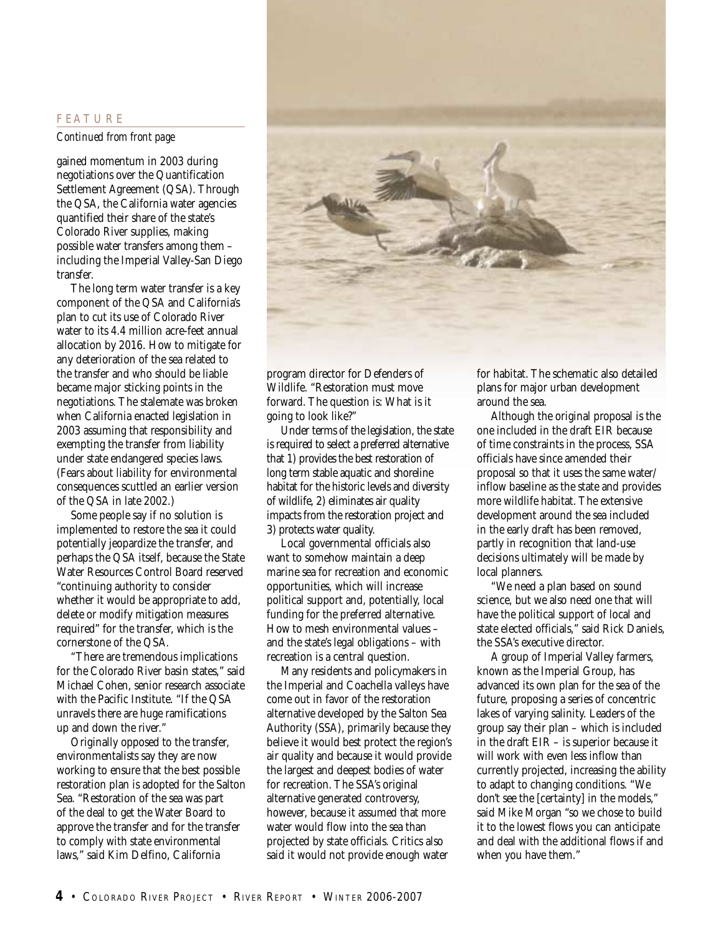#### **F E A T U R E**

#### *Continued from front page*

gained momentum in 2003 during negotiations over the Quantification Settlement Agreement (QSA). Through the QSA, the California water agencies quantified their share of the state's Colorado River supplies, making possible water transfers among them – including the Imperial Valley-San Diego transfer.

The long term water transfer is a key component of the QSA and California's plan to cut its use of Colorado River water to its 4.4 million acre-feet annual allocation by 2016. How to mitigate for any deterioration of the sea related to the transfer and who should be liable became major sticking points in the negotiations. The stalemate was broken when California enacted legislation in 2003 assuming that responsibility and exempting the transfer from liability under state endangered species laws. (Fears about liability for environmental consequences scuttled an earlier version of the QSA in late 2002.)

Some people say if no solution is implemented to restore the sea it could potentially jeopardize the transfer, and perhaps the QSA itself, because the State Water Resources Control Board reserved "continuing authority to consider whether it would be appropriate to add, delete or modify mitigation measures required" for the transfer, which is the cornerstone of the QSA.

"There are tremendous implications for the Colorado River basin states," said Michael Cohen, senior research associate with the Pacific Institute. "If the QSA unravels there are huge ramifications up and down the river."

Originally opposed to the transfer, environmentalists say they are now working to ensure that the best possible restoration plan is adopted for the Salton Sea. "Restoration of the sea was part of the deal to get the Water Board to approve the transfer and for the transfer to comply with state environmental laws," said Kim Delfino, California



program director for Defenders of Wildlife. "Restoration must move forward. The question is: What is it going to look like?"

Under terms of the legislation, the state is required to select a preferred alternative that 1) provides the best restoration of long term stable aquatic and shoreline habitat for the historic levels and diversity of wildlife, 2) eliminates air quality impacts from the restoration project and 3) protects water quality.

Local governmental officials also want to somehow maintain a deep marine sea for recreation and economic opportunities, which will increase political support and, potentially, local funding for the preferred alternative. How to mesh environmental values – and the state's legal obligations – with recreation is a central question.

Many residents and policymakers in the Imperial and Coachella valleys have come out in favor of the restoration alternative developed by the Salton Sea Authority (SSA), primarily because they believe it would best protect the region's air quality and because it would provide the largest and deepest bodies of water for recreation. The SSA's original alternative generated controversy, however, because it assumed that more water would flow into the sea than projected by state officials. Critics also said it would not provide enough water

for habitat. The schematic also detailed plans for major urban development around the sea.

Although the original proposal is the one included in the draft EIR because of time constraints in the process, SSA officials have since amended their proposal so that it uses the same water/ inflow baseline as the state and provides more wildlife habitat. The extensive development around the sea included in the early draft has been removed, partly in recognition that land-use decisions ultimately will be made by local planners.

"We need a plan based on sound science, but we also need one that will have the political support of local and state elected officials," said Rick Daniels, the SSA's executive director.

A group of Imperial Valley farmers, known as the Imperial Group, has advanced its own plan for the sea of the future, proposing a series of concentric lakes of varying salinity. Leaders of the group say their plan – which is included in the draft EIR – is superior because it will work with even less inflow than currently projected, increasing the ability to adapt to changing conditions. "We don't see the [certainty] in the models," said Mike Morgan "so we chose to build it to the lowest flows you can anticipate and deal with the additional flows if and when you have them."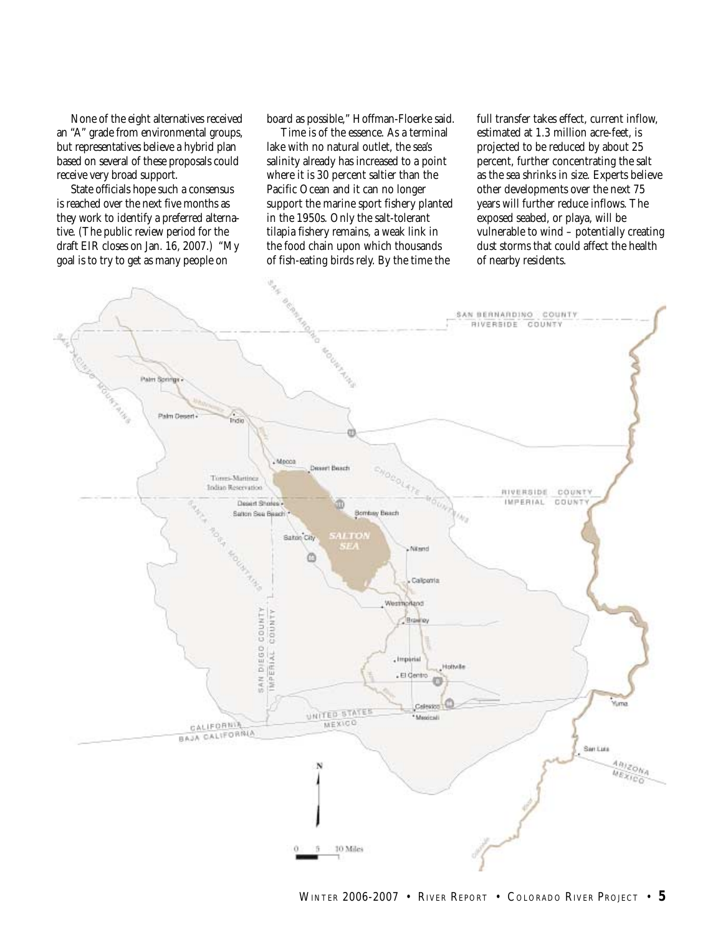None of the eight alternatives received an "A" grade from environmental groups, but representatives believe a hybrid plan based on several of these proposals could receive very broad support.

State officials hope such a consensus is reached over the next five months as they work to identify a preferred alternative. (The public review period for the draft EIR closes on Jan. 16, 2007.) "My goal is to try to get as many people on

board as possible," Hoffman-Floerke said.

Time is of the essence. As a terminal lake with no natural outlet, the sea's salinity already has increased to a point where it is 30 percent saltier than the Pacific Ocean and it can no longer support the marine sport fishery planted in the 1950s. Only the salt-tolerant tilapia fishery remains, a weak link in the food chain upon which thousands of fish-eating birds rely. By the time the

full transfer takes effect, current inflow, estimated at 1.3 million acre-feet, is projected to be reduced by about 25 percent, further concentrating the salt as the sea shrinks in size. Experts believe other developments over the next 75 years will further reduce inflows. The exposed seabed, or playa, will be vulnerable to wind – potentially creating dust storms that could affect the health of nearby residents.

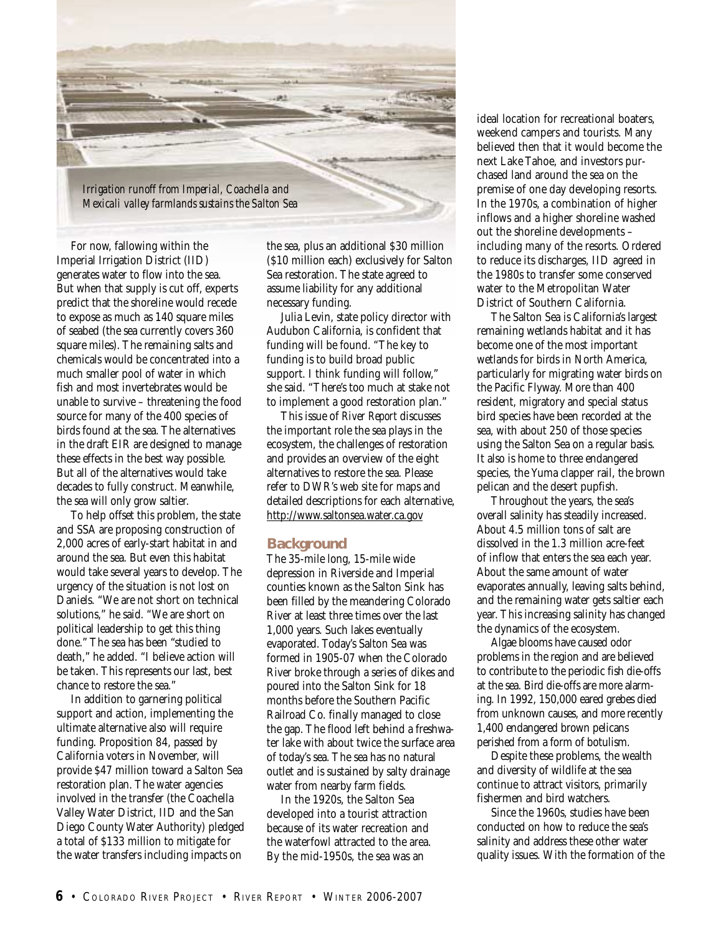

For now, fallowing within the Imperial Irrigation District (IID) generates water to flow into the sea. But when that supply is cut off, experts predict that the shoreline would recede to expose as much as 140 square miles of seabed (the sea currently covers 360 square miles). The remaining salts and chemicals would be concentrated into a much smaller pool of water in which fish and most invertebrates would be unable to survive – threatening the food source for many of the 400 species of birds found at the sea. The alternatives in the draft EIR are designed to manage these effects in the best way possible. But all of the alternatives would take decades to fully construct. Meanwhile, the sea will only grow saltier.

To help offset this problem, the state and SSA are proposing construction of 2,000 acres of early-start habitat in and around the sea. But even this habitat would take several years to develop. The urgency of the situation is not lost on Daniels. "We are not short on technical solutions," he said. "We are short on political leadership to get this thing done." The sea has been "studied to death," he added. "I believe action will be taken. This represents our last, best chance to restore the sea."

In addition to garnering political support and action, implementing the ultimate alternative also will require funding. Proposition 84, passed by California voters in November, will provide \$47 million toward a Salton Sea restoration plan. The water agencies involved in the transfer (the Coachella Valley Water District, IID and the San Diego County Water Authority) pledged a total of \$133 million to mitigate for the water transfers including impacts on

the sea, plus an additional \$30 million (\$10 million each) exclusively for Salton Sea restoration. The state agreed to assume liability for any additional necessary funding.

Julia Levin, state policy director with Audubon California, is confident that funding will be found. "The key to funding is to build broad public support. I think funding will follow," she said. "There's too much at stake not to implement a good restoration plan."

This issue of *River Report* discusses the important role the sea plays in the ecosystem, the challenges of restoration and provides an overview of the eight alternatives to restore the sea. Please refer to DWR's web site for maps and detailed descriptions for each alternative, http://www.saltonsea.water.ca.gov

#### **Background**

The 35-mile long, 15-mile wide depression in Riverside and Imperial counties known as the Salton Sink has been filled by the meandering Colorado River at least three times over the last 1,000 years. Such lakes eventually evaporated. Today's Salton Sea was formed in 1905-07 when the Colorado River broke through a series of dikes and poured into the Salton Sink for 18 months before the Southern Pacific Railroad Co. finally managed to close the gap. The flood left behind a freshwater lake with about twice the surface area of today's sea. The sea has no natural outlet and is sustained by salty drainage water from nearby farm fields.

In the 1920s, the Salton Sea developed into a tourist attraction because of its water recreation and the waterfowl attracted to the area. By the mid-1950s, the sea was an

ideal location for recreational boaters, weekend campers and tourists. Many believed then that it would become the next Lake Tahoe, and investors purchased land around the sea on the premise of one day developing resorts. In the 1970s, a combination of higher inflows and a higher shoreline washed out the shoreline developments – including many of the resorts. Ordered to reduce its discharges, IID agreed in the 1980s to transfer some conserved water to the Metropolitan Water District of Southern California.

The Salton Sea is California's largest remaining wetlands habitat and it has become one of the most important wetlands for birds in North America, particularly for migrating water birds on the Pacific Flyway. More than 400 resident, migratory and special status bird species have been recorded at the sea, with about 250 of those species using the Salton Sea on a regular basis. It also is home to three endangered species, the Yuma clapper rail, the brown pelican and the desert pupfish.

Throughout the years, the sea's overall salinity has steadily increased. About 4.5 million tons of salt are dissolved in the 1.3 million acre-feet of inflow that enters the sea each year. About the same amount of water evaporates annually, leaving salts behind, and the remaining water gets saltier each year. This increasing salinity has changed the dynamics of the ecosystem.

Algae blooms have caused odor problems in the region and are believed to contribute to the periodic fish die-offs at the sea. Bird die-offs are more alarming. In 1992, 150,000 eared grebes died from unknown causes, and more recently 1,400 endangered brown pelicans perished from a form of botulism.

Despite these problems, the wealth and diversity of wildlife at the sea continue to attract visitors, primarily fishermen and bird watchers.

Since the 1960s, studies have been conducted on how to reduce the sea's salinity and address these other water quality issues. With the formation of the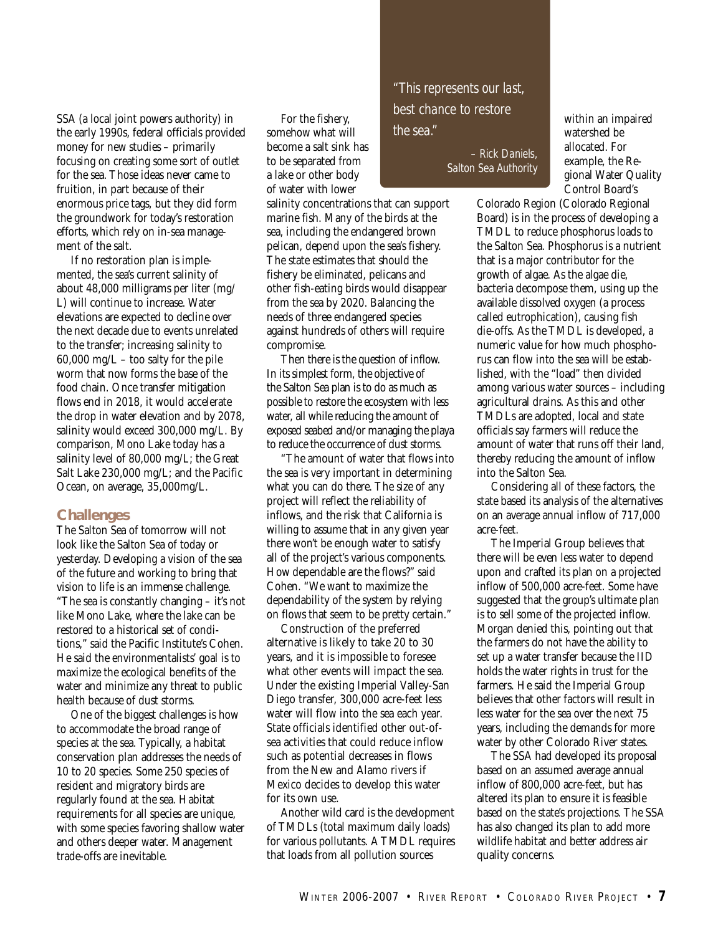SSA (a local joint powers authority) in the early 1990s, federal officials provided money for new studies – primarily focusing on creating some sort of outlet for the sea. Those ideas never came to fruition, in part because of their enormous price tags, but they did form the groundwork for today's restoration efforts, which rely on in-sea management of the salt.

If no restoration plan is implemented, the sea's current salinity of about 48,000 milligrams per liter (mg/ L) will continue to increase. Water elevations are expected to decline over the next decade due to events unrelated to the transfer; increasing salinity to  $60,000 \text{ mg/L}$  – too salty for the pile worm that now forms the base of the food chain. Once transfer mitigation flows end in 2018, it would accelerate the drop in water elevation and by 2078, salinity would exceed 300,000 mg/L. By comparison, Mono Lake today has a salinity level of 80,000 mg/L; the Great Salt Lake 230,000 mg/L; and the Pacific Ocean, on average, 35,000mg/L.

#### **Challenges**

The Salton Sea of tomorrow will not look like the Salton Sea of today or yesterday. Developing a vision of the sea of the future and working to bring that vision to life is an immense challenge. "The sea is constantly changing – it's not like Mono Lake, where the lake can be restored to a historical set of conditions," said the Pacific Institute's Cohen. He said the environmentalists' goal is to maximize the ecological benefits of the water and minimize any threat to public health because of dust storms.

One of the biggest challenges is how to accommodate the broad range of species at the sea. Typically, a habitat conservation plan addresses the needs of 10 to 20 species. Some 250 species of resident and migratory birds are regularly found at the sea. Habitat requirements for all species are unique, with some species favoring shallow water and others deeper water. Management trade-offs are inevitable.

For the fishery, somehow what will become a salt sink has to be separated from a lake or other body of water with lower

salinity concentrations that can support marine fish. Many of the birds at the sea, including the endangered brown pelican, depend upon the sea's fishery. The state estimates that should the fishery be eliminated, pelicans and other fish-eating birds would disappear from the sea by 2020. Balancing the needs of three endangered species against hundreds of others will require compromise.

Then there is the question of inflow. In its simplest form, the objective of the Salton Sea plan is to do as much as possible to restore the ecosystem with less water, all while reducing the amount of exposed seabed and/or managing the playa to reduce the occurrence of dust storms.

"The amount of water that flows into the sea is very important in determining what you can do there. The size of any project will reflect the reliability of inflows, and the risk that California is willing to assume that in any given year there won't be enough water to satisfy all of the project's various components. How dependable are the flows?" said Cohen. "We want to maximize the dependability of the system by relying on flows that seem to be pretty certain."

Construction of the preferred alternative is likely to take 20 to 30 years, and it is impossible to foresee what other events will impact the sea. Under the existing Imperial Valley-San Diego transfer, 300,000 acre-feet less water will flow into the sea each year. State officials identified other out-ofsea activities that could reduce inflow such as potential decreases in flows from the New and Alamo rivers if Mexico decides to develop this water for its own use.

Another wild card is the development of TMDLs (total maximum daily loads) for various pollutants. A TMDL requires that loads from all pollution sources

*"This represents our last, best chance to restore the sea."*

> *– Rick Daniels, Salton Sea Authority*

within an impaired watershed be allocated. For example, the Regional Water Quality Control Board's

Colorado Region (Colorado Regional Board) is in the process of developing a TMDL to reduce phosphorus loads to the Salton Sea. Phosphorus is a nutrient that is a major contributor for the growth of algae. As the algae die, bacteria decompose them, using up the available dissolved oxygen (a process called eutrophication), causing fish die-offs. As the TMDL is developed, a numeric value for how much phosphorus can flow into the sea will be established, with the "load" then divided among various water sources – including agricultural drains. As this and other TMDLs are adopted, local and state officials say farmers will reduce the amount of water that runs off their land, thereby reducing the amount of inflow into the Salton Sea.

Considering all of these factors, the state based its analysis of the alternatives on an average annual inflow of 717,000 acre-feet.

The Imperial Group believes that there will be even less water to depend upon and crafted its plan on a projected inflow of 500,000 acre-feet. Some have suggested that the group's ultimate plan is to sell some of the projected inflow. Morgan denied this, pointing out that the farmers do not have the ability to set up a water transfer because the IID holds the water rights in trust for the farmers. He said the Imperial Group believes that other factors will result in less water for the sea over the next 75 years, including the demands for more water by other Colorado River states.

The SSA had developed its proposal based on an assumed average annual inflow of 800,000 acre-feet, but has altered its plan to ensure it is feasible based on the state's projections. The SSA has also changed its plan to add more wildlife habitat and better address air quality concerns.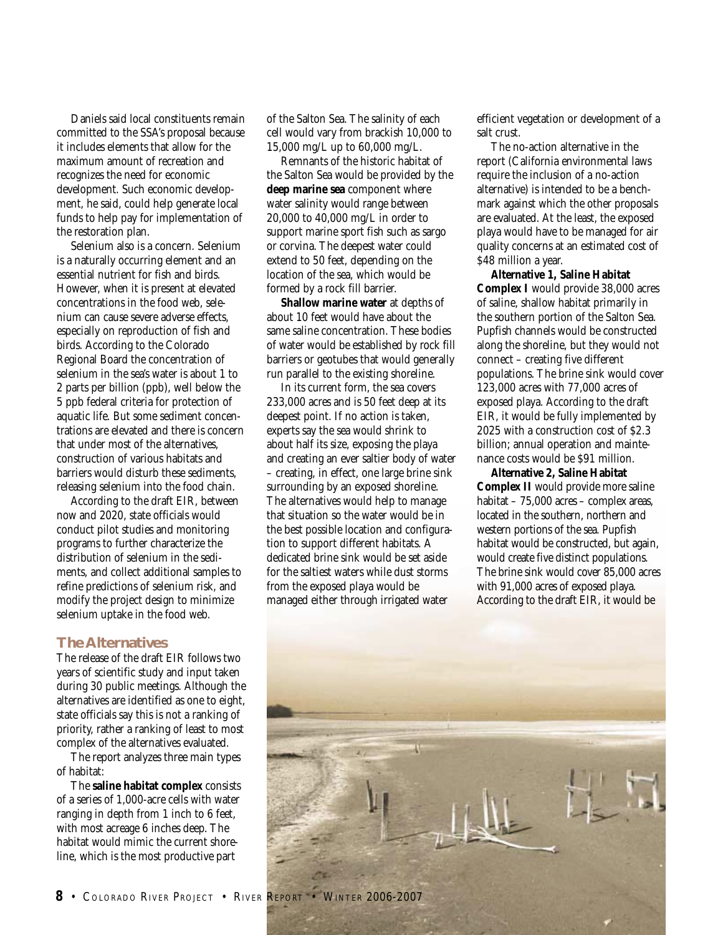Daniels said local constituents remain committed to the SSA's proposal because it includes elements that allow for the maximum amount of recreation and recognizes the need for economic development. Such economic development, he said, could help generate local funds to help pay for implementation of the restoration plan.

Selenium also is a concern. Selenium is a naturally occurring element and an essential nutrient for fish and birds. However, when it is present at elevated concentrations in the food web, selenium can cause severe adverse effects, especially on reproduction of fish and birds. According to the Colorado Regional Board the concentration of selenium in the sea's water is about 1 to 2 parts per billion (ppb), well below the 5 ppb federal criteria for protection of aquatic life. But some sediment concentrations are elevated and there is concern that under most of the alternatives, construction of various habitats and barriers would disturb these sediments, releasing selenium into the food chain.

According to the draft EIR, between now and 2020, state officials would conduct pilot studies and monitoring programs to further characterize the distribution of selenium in the sediments, and collect additional samples to refine predictions of selenium risk, and modify the project design to minimize selenium uptake in the food web.

#### **The Alternatives**

The release of the draft EIR follows two years of scientific study and input taken during 30 public meetings. Although the alternatives are identified as one to eight, state officials say this is not a ranking of priority, rather a ranking of least to most complex of the alternatives evaluated.

The report analyzes three main types of habitat:

The **saline habitat complex** consists of a series of 1,000-acre cells with water ranging in depth from 1 inch to 6 feet, with most acreage 6 inches deep. The habitat would mimic the current shoreline, which is the most productive part

of the Salton Sea. The salinity of each cell would vary from brackish 10,000 to 15,000 mg/L up to 60,000 mg/L.

Remnants of the historic habitat of the Salton Sea would be provided by the **deep marine sea** component where water salinity would range between 20,000 to 40,000 mg/L in order to support marine sport fish such as sargo or corvina. The deepest water could extend to 50 feet, depending on the location of the sea, which would be formed by a rock fill barrier.

**Shallow marine water** at depths of about 10 feet would have about the same saline concentration. These bodies of water would be established by rock fill barriers or geotubes that would generally run parallel to the existing shoreline.

In its current form, the sea covers 233,000 acres and is 50 feet deep at its deepest point. If no action is taken, experts say the sea would shrink to about half its size, exposing the playa and creating an ever saltier body of water – creating, in effect, one large brine sink surrounding by an exposed shoreline. The alternatives would help to manage that situation so the water would be in the best possible location and configuration to support different habitats. A dedicated brine sink would be set aside for the saltiest waters while dust storms from the exposed playa would be managed either through irrigated water

efficient vegetation or development of a salt crust.

The no-action alternative in the report (California environmental laws require the inclusion of a no-action alternative) is intended to be a benchmark against which the other proposals are evaluated. At the least, the exposed playa would have to be managed for air quality concerns at an estimated cost of \$48 million a year.

**Alternative 1, Saline Habitat Complex I** would provide 38,000 acres of saline, shallow habitat primarily in the southern portion of the Salton Sea. Pupfish channels would be constructed along the shoreline, but they would not connect – creating five different populations. The brine sink would cover 123,000 acres with 77,000 acres of exposed playa. According to the draft EIR, it would be fully implemented by 2025 with a construction cost of \$2.3 billion; annual operation and maintenance costs would be \$91 million.

**Alternative 2, Saline Habitat Complex II** would provide more saline habitat – 75,000 acres – complex areas, located in the southern, northern and western portions of the sea. Pupfish habitat would be constructed, but again, would create five distinct populations. The brine sink would cover 85,000 acres with 91,000 acres of exposed playa. According to the draft EIR, it would be

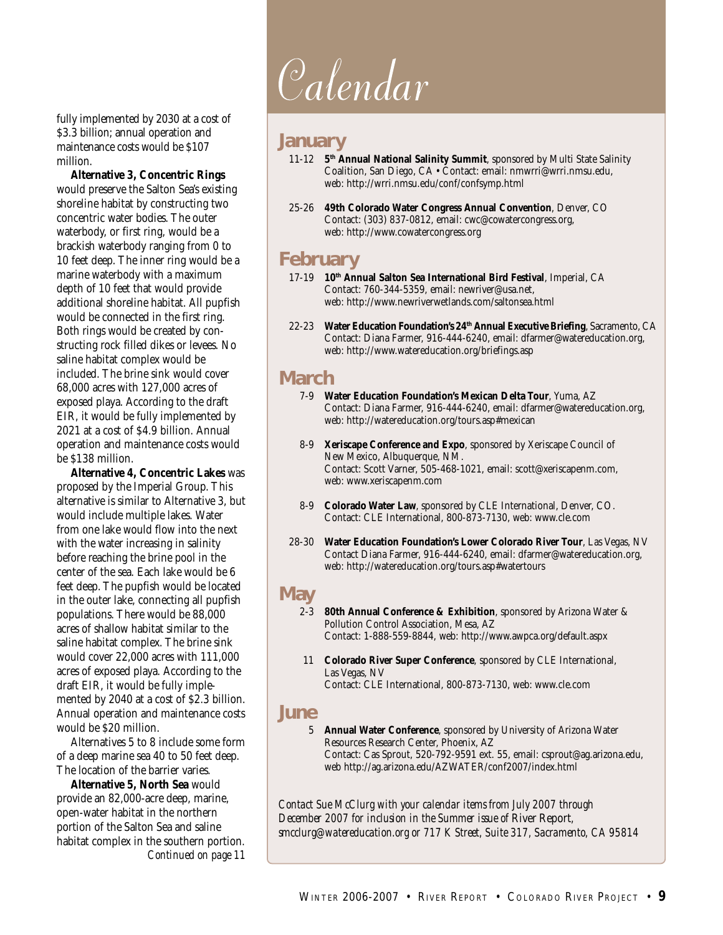fully implemented by 2030 at a cost of \$3.3 billion; annual operation and maintenance costs would be \$107 million.

**Alternative 3, Concentric Rings** would preserve the Salton Sea's existing shoreline habitat by constructing two concentric water bodies. The outer waterbody, or first ring, would be a brackish waterbody ranging from 0 to 10 feet deep. The inner ring would be a marine waterbody with a maximum depth of 10 feet that would provide additional shoreline habitat. All pupfish would be connected in the first ring. Both rings would be created by constructing rock filled dikes or levees. No saline habitat complex would be included. The brine sink would cover 68,000 acres with 127,000 acres of exposed playa. According to the draft EIR, it would be fully implemented by 2021 at a cost of \$4.9 billion. Annual operation and maintenance costs would be \$138 million.

**Alternative 4, Concentric Lakes** was proposed by the Imperial Group. This alternative is similar to Alternative 3, but would include multiple lakes. Water from one lake would flow into the next with the water increasing in salinity before reaching the brine pool in the center of the sea. Each lake would be 6 feet deep. The pupfish would be located in the outer lake, connecting all pupfish populations. There would be 88,000 acres of shallow habitat similar to the saline habitat complex. The brine sink would cover 22,000 acres with 111,000 acres of exposed playa. According to the draft EIR, it would be fully implemented by 2040 at a cost of \$2.3 billion. Annual operation and maintenance costs would be \$20 million.

Alternatives 5 to 8 include some form of a deep marine sea 40 to 50 feet deep. The location of the barrier varies.

*Continued on page 11* **Alternative 5, North Sea** would provide an 82,000-acre deep, marine, open-water habitat in the northern portion of the Salton Sea and saline habitat complex in the southern portion.

# Calendar

## **January**

- 11-12 **5th Annual National Salinity Summit**, sponsored by Multi State Salinity Coalition, San Diego, CA • Contact: email: nmwrri@wrri.nmsu.edu, web: http://wrri.nmsu.edu/conf/confsymp.html
- 25-26 **49th Colorado Water Congress Annual Convention**, Denver, CO Contact: (303) 837-0812, email: cwc@cowatercongress.org, web: http://www.cowatercongress.org

# **February**

- 17-19 **10th Annual Salton Sea International Bird Festival**, Imperial, CA Contact: 760-344-5359, email: newriver@usa.net, web: http://www.newriverwetlands.com/saltonsea.html
- 22-23 **Water Education Foundation's 24th Annual Executive Briefing**, Sacramento, CA Contact: Diana Farmer, 916-444-6240, email: dfarmer@watereducation.org, web: http://www.watereducation.org/briefings.asp

# **March**

- 7-9 **Water Education Foundation's Mexican Delta Tour**, Yuma, AZ Contact: Diana Farmer, 916-444-6240, email: dfarmer@watereducation.org, web: http://watereducation.org/tours.asp#mexican
- 8-9 **Xeriscape Conference and Expo**, sponsored by Xeriscape Council of New Mexico, Albuquerque, NM. Contact: Scott Varner, 505-468-1021, email: scott@xeriscapenm.com, web: www.xeriscapenm.com
- 8-9 **Colorado Water Law**, sponsored by CLE International, Denver, CO. Contact: CLE International, 800-873-7130, web: www.cle.com
- 28-30 **Water Education Foundation's Lower Colorado River Tour**, Las Vegas, NV Contact Diana Farmer, 916-444-6240, email: dfarmer@watereducation.org, web: http://watereducation.org/tours.asp#watertours

# **May**<br>2-3

- 80th Annual Conference & Exhibition, sponsored by Arizona Water & Pollution Control Association, Mesa, AZ Contact: 1-888-559-8844, web: http://www.awpca.org/default.aspx
- 11 **Colorado River Super Conference**, sponsored by CLE International, Las Vegas, NV Contact: CLE International, 800-873-7130, web: www.cle.com

## **June**

5 **Annual Water Conference**, sponsored by University of Arizona Water Resources Research Center, Phoenix, AZ Contact: Cas Sprout, 520-792-9591 ext. 55, email: csprout@ag.arizona.edu, web http://ag.arizona.edu/AZWATER/conf2007/index.html

*Contact Sue McClurg with your calendar items from July 2007 through December 2007 for inclusion in the Summer issue of* River Report*, smcclurg@watereducation.org or 717 K Street, Suite 317, Sacramento, CA 95814*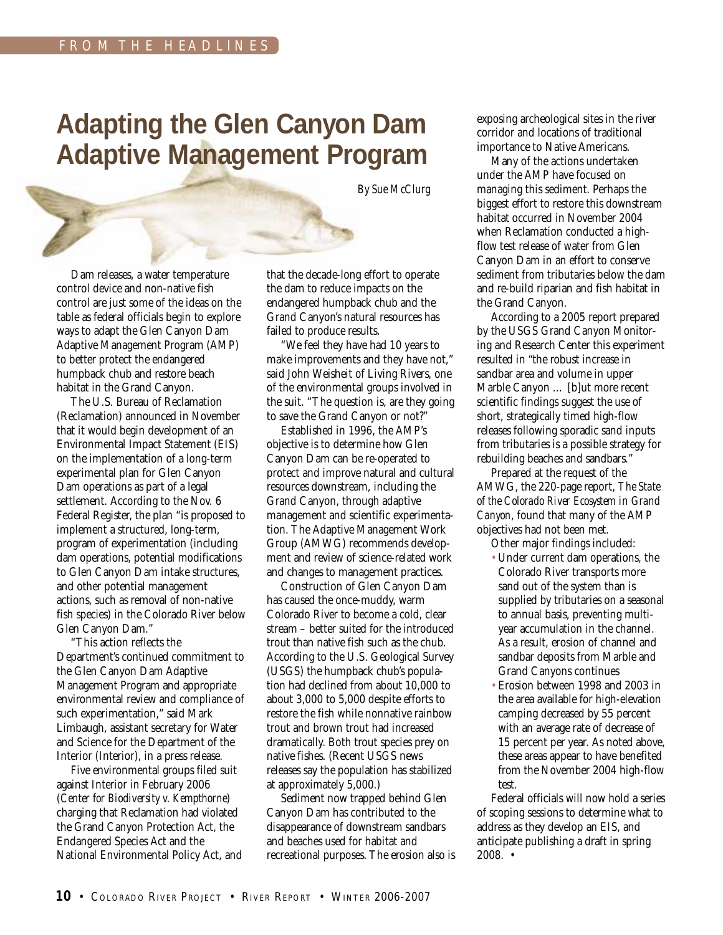# **Adapting the Glen Canyon Dam Adaptive Management Program**

*By Sue McClurg*

Dam releases, a water temperature control device and non-native fish control are just some of the ideas on the table as federal officials begin to explore ways to adapt the Glen Canyon Dam Adaptive Management Program (AMP) to better protect the endangered humpback chub and restore beach habitat in the Grand Canyon.

The U.S. Bureau of Reclamation (Reclamation) announced in November that it would begin development of an Environmental Impact Statement (EIS) on the implementation of a long-term experimental plan for Glen Canyon Dam operations as part of a legal settlement. According to the Nov. 6 Federal Register, the plan "is proposed to implement a structured, long-term, program of experimentation (including dam operations, potential modifications to Glen Canyon Dam intake structures, and other potential management actions, such as removal of non-native fish species) in the Colorado River below Glen Canyon Dam."

"This action reflects the Department's continued commitment to the Glen Canyon Dam Adaptive Management Program and appropriate environmental review and compliance of such experimentation," said Mark Limbaugh, assistant secretary for Water and Science for the Department of the Interior (Interior), in a press release.

Five environmental groups filed suit against Interior in February 2006 (*Center for Biodiversity v. Kempthorne*) charging that Reclamation had violated the Grand Canyon Protection Act, the Endangered Species Act and the National Environmental Policy Act, and that the decade-long effort to operate the dam to reduce impacts on the endangered humpback chub and the Grand Canyon's natural resources has failed to produce results.

"We feel they have had 10 years to make improvements and they have not," said John Weisheit of Living Rivers, one of the environmental groups involved in the suit. "The question is, are they going to save the Grand Canyon or not?"

Established in 1996, the AMP's objective is to determine how Glen Canyon Dam can be re-operated to protect and improve natural and cultural resources downstream, including the Grand Canyon, through adaptive management and scientific experimentation. The Adaptive Management Work Group (AMWG) recommends development and review of science-related work and changes to management practices.

Construction of Glen Canyon Dam has caused the once-muddy, warm Colorado River to become a cold, clear stream – better suited for the introduced trout than native fish such as the chub. According to the U.S. Geological Survey (USGS) the humpback chub's population had declined from about 10,000 to about 3,000 to 5,000 despite efforts to restore the fish while nonnative rainbow trout and brown trout had increased dramatically. Both trout species prey on native fishes. (Recent USGS news releases say the population has stabilized at approximately 5,000.)

Sediment now trapped behind Glen Canyon Dam has contributed to the disappearance of downstream sandbars and beaches used for habitat and recreational purposes. The erosion also is exposing archeological sites in the river corridor and locations of traditional importance to Native Americans.

Many of the actions undertaken under the AMP have focused on managing this sediment. Perhaps the biggest effort to restore this downstream habitat occurred in November 2004 when Reclamation conducted a highflow test release of water from Glen Canyon Dam in an effort to conserve sediment from tributaries below the dam and re-build riparian and fish habitat in the Grand Canyon.

According to a 2005 report prepared by the USGS Grand Canyon Monitoring and Research Center this experiment resulted in "the robust increase in sandbar area and volume in upper Marble Canyon … [b]ut more recent scientific findings suggest the use of short, strategically timed high-flow releases following sporadic sand inputs from tributaries is a possible strategy for rebuilding beaches and sandbars."

Prepared at the request of the AMWG, the 220-page report, *The State of the Colorado River Ecosystem in Grand Canyon*, found that many of the AMP objectives had not been met.

- Other major findings included:
- Under current dam operations, the Colorado River transports more sand out of the system than is supplied by tributaries on a seasonal to annual basis, preventing multiyear accumulation in the channel. As a result, erosion of channel and sandbar deposits from Marble and Grand Canyons continues
- Erosion between 1998 and 2003 in the area available for high-elevation camping decreased by 55 percent with an average rate of decrease of 15 percent per year. As noted above, these areas appear to have benefited from the November 2004 high-flow test.

Federal officials will now hold a series of scoping sessions to determine what to address as they develop an EIS, and anticipate publishing a draft in spring 2008. •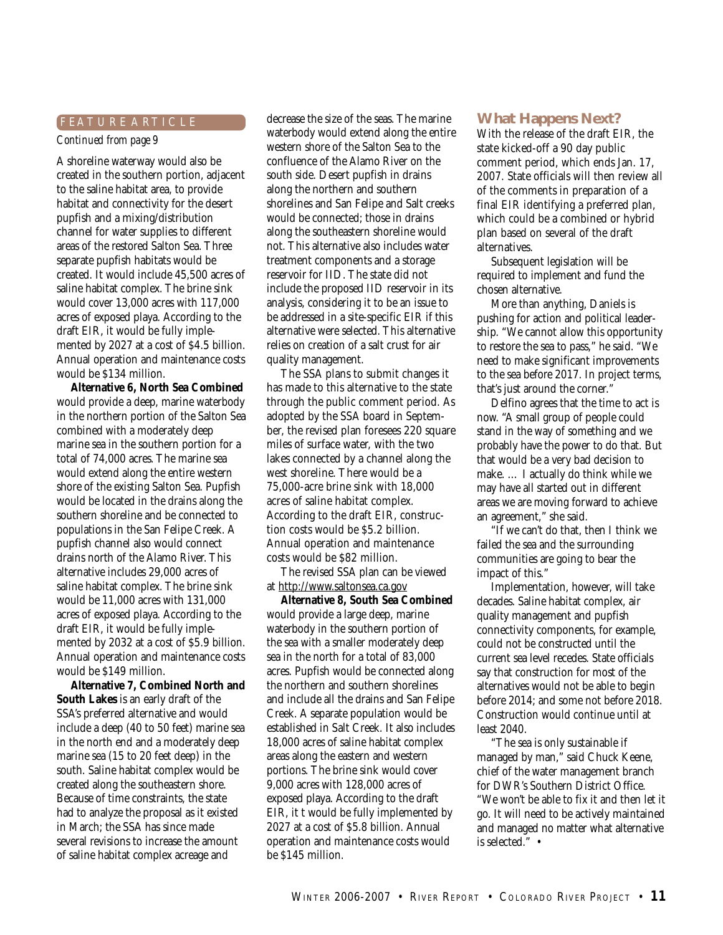#### *Continued from page 9*

A shoreline waterway would also be created in the southern portion, adjacent to the saline habitat area, to provide habitat and connectivity for the desert pupfish and a mixing/distribution channel for water supplies to different areas of the restored Salton Sea. Three separate pupfish habitats would be created. It would include 45,500 acres of saline habitat complex. The brine sink would cover 13,000 acres with 117,000 acres of exposed playa. According to the draft EIR, it would be fully implemented by 2027 at a cost of \$4.5 billion. Annual operation and maintenance costs would be \$134 million.

**Alternative 6, North Sea Combined** would provide a deep, marine waterbody in the northern portion of the Salton Sea combined with a moderately deep marine sea in the southern portion for a total of 74,000 acres. The marine sea would extend along the entire western shore of the existing Salton Sea. Pupfish would be located in the drains along the southern shoreline and be connected to populations in the San Felipe Creek. A pupfish channel also would connect drains north of the Alamo River. This alternative includes 29,000 acres of saline habitat complex. The brine sink would be 11,000 acres with 131,000 acres of exposed playa. According to the draft EIR, it would be fully implemented by 2032 at a cost of \$5.9 billion. Annual operation and maintenance costs would be \$149 million.

**Alternative 7, Combined North and South Lakes** is an early draft of the SSA's preferred alternative and would include a deep (40 to 50 feet) marine sea in the north end and a moderately deep marine sea (15 to 20 feet deep) in the south. Saline habitat complex would be created along the southeastern shore. Because of time constraints, the state had to analyze the proposal as it existed in March; the SSA has since made several revisions to increase the amount of saline habitat complex acreage and

F E A T U R E A R T I C L E decrease the size of the seas. The marine waterbody would extend along the entire western shore of the Salton Sea to the confluence of the Alamo River on the south side. Desert pupfish in drains along the northern and southern shorelines and San Felipe and Salt creeks would be connected; those in drains along the southeastern shoreline would not. This alternative also includes water treatment components and a storage reservoir for IID. The state did not include the proposed IID reservoir in its analysis, considering it to be an issue to be addressed in a site-specific EIR if this alternative were selected. This alternative relies on creation of a salt crust for air quality management.

> The SSA plans to submit changes it has made to this alternative to the state through the public comment period. As adopted by the SSA board in September, the revised plan foresees 220 square miles of surface water, with the two lakes connected by a channel along the west shoreline. There would be a 75,000-acre brine sink with 18,000 acres of saline habitat complex. According to the draft EIR, construction costs would be \$5.2 billion. Annual operation and maintenance costs would be \$82 million.

The revised SSA plan can be viewed at http://www.saltonsea.ca.gov

**Alternative 8, South Sea Combined** would provide a large deep, marine waterbody in the southern portion of the sea with a smaller moderately deep sea in the north for a total of 83,000 acres. Pupfish would be connected along the northern and southern shorelines and include all the drains and San Felipe Creek. A separate population would be established in Salt Creek. It also includes 18,000 acres of saline habitat complex areas along the eastern and western portions. The brine sink would cover 9,000 acres with 128,000 acres of exposed playa. According to the draft EIR, it t would be fully implemented by 2027 at a cost of \$5.8 billion. Annual operation and maintenance costs would be \$145 million.

#### **What Happens Next?**

With the release of the draft EIR, the state kicked-off a 90 day public comment period, which ends Jan. 17, 2007. State officials will then review all of the comments in preparation of a final EIR identifying a preferred plan, which could be a combined or hybrid plan based on several of the draft alternatives.

Subsequent legislation will be required to implement and fund the chosen alternative.

More than anything, Daniels is pushing for action and political leadership. "We cannot allow this opportunity to restore the sea to pass," he said. "We need to make significant improvements to the sea before 2017. In project terms, that's just around the corner."

Delfino agrees that the time to act is now. "A small group of people could stand in the way of something and we probably have the power to do that. But that would be a very bad decision to make. … I actually do think while we may have all started out in different areas we are moving forward to achieve an agreement," she said.

"If we can't do that, then I think we failed the sea and the surrounding communities are going to bear the impact of this."

Implementation, however, will take decades. Saline habitat complex, air quality management and pupfish connectivity components, for example, could not be constructed until the current sea level recedes. State officials say that construction for most of the alternatives would not be able to begin before 2014; and some not before 2018. Construction would continue until at least 2040.

"The sea is only sustainable if managed by man," said Chuck Keene, chief of the water management branch for DWR's Southern District Office. "We won't be able to fix it and then let it go. It will need to be actively maintained and managed no matter what alternative is selected." •